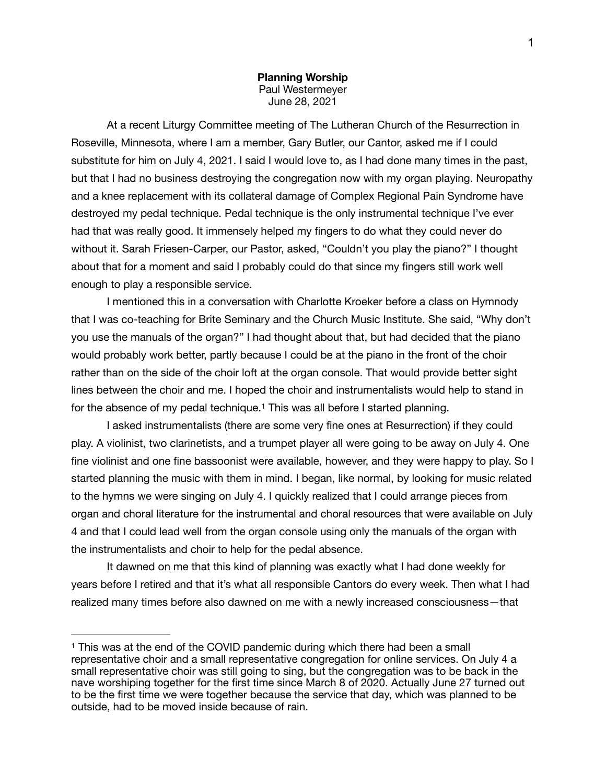**Planning Worship**  Paul Westermeyer June 28, 2021

At a recent Liturgy Committee meeting of The Lutheran Church of the Resurrection in Roseville, Minnesota, where I am a member, Gary Butler, our Cantor, asked me if I could substitute for him on July 4, 2021. I said I would love to, as I had done many times in the past, but that I had no business destroying the congregation now with my organ playing. Neuropathy and a knee replacement with its collateral damage of Complex Regional Pain Syndrome have destroyed my pedal technique. Pedal technique is the only instrumental technique I've ever had that was really good. It immensely helped my fingers to do what they could never do without it. Sarah Friesen-Carper, our Pastor, asked, "Couldn't you play the piano?" I thought about that for a moment and said I probably could do that since my fingers still work well enough to play a responsible service.

I mentioned this in a conversation with Charlotte Kroeker before a class on Hymnody that I was co-teaching for Brite Seminary and the Church Music Institute. She said, "Why don't you use the manuals of the organ?" I had thought about that, but had decided that the piano would probably work better, partly because I could be at the piano in the front of the choir rather than on the side of the choir loft at the organ console. That would provide better sight lines between the choir and me. I hoped the choir and instrumentalists would help to stand in for the absence of my pedal technique[.](#page-0-0)<sup>1</sup> This was all before I started planning.

<span id="page-0-1"></span>I asked instrumentalists (there are some very fine ones at Resurrection) if they could play. A violinist, two clarinetists, and a trumpet player all were going to be away on July 4. One fine violinist and one fine bassoonist were available, however, and they were happy to play. So I started planning the music with them in mind. I began, like normal, by looking for music related to the hymns we were singing on July 4. I quickly realized that I could arrange pieces from organ and choral literature for the instrumental and choral resources that were available on July 4 and that I could lead well from the organ console using only the manuals of the organ with the instrumentalists and choir to help for the pedal absence.

It dawned on me that this kind of planning was exactly what I had done weekly for years before I retired and that it's what all responsible Cantors do every week. Then what I had realized many times before also dawned on me with a newly increased consciousness—that

<span id="page-0-0"></span><sup>&</sup>lt;sup>[1](#page-0-1)</sup> This was at the end of the COVID pandemic during which there had been a small representative choir and a small representative congregation for online services. On July 4 a small representative choir was still going to sing, but the congregation was to be back in the nave worshiping together for the first time since March 8 of 2020. Actually June 27 turned out to be the first time we were together because the service that day, which was planned to be outside, had to be moved inside because of rain.